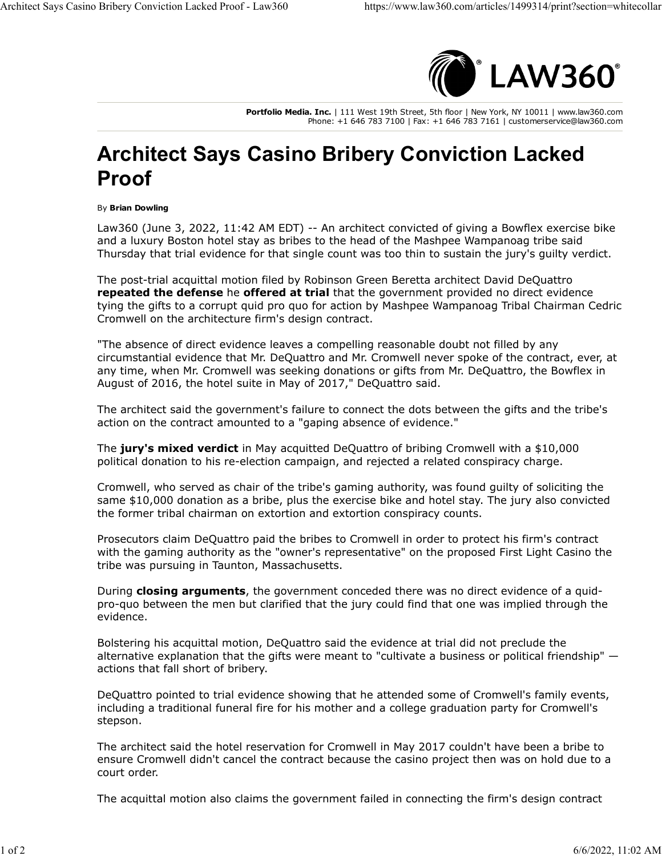

**Portfolio Media. Inc.** | 111 West 19th Street, 5th floor | New York, NY 10011 | www.law360.com Phone: +1 646 783 7100 | Fax: +1 646 783 7161 | customerservice@law360.com

## **Architect Says Casino Bribery Conviction Lacked Proof**

## By **Brian Dowling**

Law360 (June 3, 2022, 11:42 AM EDT) -- An architect convicted of giving a Bowflex exercise bike and a luxury Boston hotel stay as bribes to the head of the Mashpee Wampanoag tribe said Thursday that trial evidence for that single count was too thin to sustain the jury's guilty verdict.

The post-trial acquittal motion filed by Robinson Green Beretta architect David DeQuattro **[repeated the defense](https://www.law360.com/articles/1488088)** he **[offered at trial](https://www.law360.com/articles/1486602)** that the government provided no direct evidence tying the gifts to a corrupt quid pro quo for action by Mashpee Wampanoag Tribal Chairman Cedric Cromwell on the architecture firm's design contract.

"The absence of direct evidence leaves a compelling reasonable doubt not filled by any circumstantial evidence that Mr. DeQuattro and Mr. Cromwell never spoke of the contract, ever, at any time, when Mr. Cromwell was seeking donations or gifts from Mr. DeQuattro, the Bowflex in August of 2016, the hotel suite in May of 2017," DeQuattro said.

The architect said the government's failure to connect the dots between the gifts and the tribe's action on the contract amounted to a "gaping absence of evidence."

The **[jury's mixed verdict](https://www.law360.com/articles/1490042)** in May acquitted DeQuattro of bribing Cromwell with a \$10,000 political donation to his re-election campaign, and rejected a related conspiracy charge.

Cromwell, who served as chair of the tribe's gaming authority, was found guilty of soliciting the same \$10,000 donation as a bribe, plus the exercise bike and hotel stay. The jury also convicted the former tribal chairman on extortion and extortion conspiracy counts.

Prosecutors claim DeQuattro paid the bribes to Cromwell in order to protect his firm's contract with the gaming authority as the "owner's representative" on the proposed First Light Casino the tribe was pursuing in Taunton, Massachusetts.

During **[closing arguments](https://www.law360.com/articles/1489545)**, the government conceded there was no direct evidence of a quidpro-quo between the men but clarified that the jury could find that one was implied through the evidence.

Bolstering his acquittal motion, DeQuattro said the evidence at trial did not preclude the alternative explanation that the gifts were meant to "cultivate a business or political friendship" actions that fall short of bribery.

DeQuattro pointed to trial evidence showing that he attended some of Cromwell's family events, including a traditional funeral fire for his mother and a college graduation party for Cromwell's stepson.

The architect said the hotel reservation for Cromwell in May 2017 couldn't have been a bribe to ensure Cromwell didn't cancel the contract because the casino project then was on hold due to a court order.

The acquittal motion also claims the government failed in connecting the firm's design contract